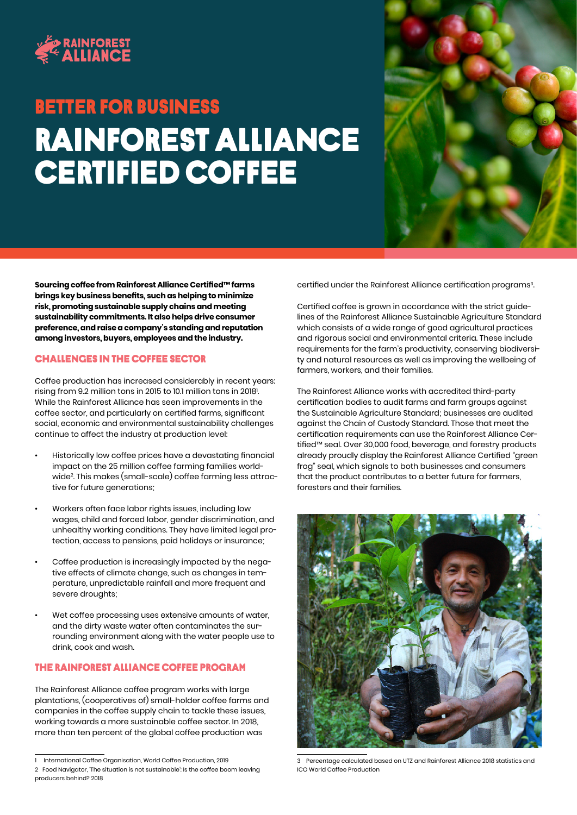

# Rainforest alliance certified coffee Better FOR BUSINESS



**Sourcing coffee from Rainforest Alliance Certified™ farms brings key business benefits, such as helping to minimize risk, promoting sustainable supply chains and meeting sustainability commitments. It also helps drive consumer preference, and raise a company's standing and reputation among investors, buyers, employees and the industry.**

### Challenges in the coffee sector

Coffee production has increased considerably in recent years: rising from 9.2 million tons in 2015 to 10.1 million tons in 2018'. While the Rainforest Alliance has seen improvements in the coffee sector, and particularly on certified farms, significant social, economic and environmental sustainability challenges continue to affect the industry at production level:

- Historically low coffee prices have a devastating financial impact on the 25 million coffee farming families worldwide2 . This makes (small-scale) coffee farming less attractive for future generations;
- Workers often face labor rights issues, including low wages, child and forced labor, gender discrimination, and unhealthy working conditions. They have limited legal protection, access to pensions, paid holidays or insurance;
- Coffee production is increasingly impacted by the negative effects of climate change, such as changes in temperature, unpredictable rainfall and more frequent and severe droughts;
- Wet coffee processing uses extensive amounts of water, and the dirty waste water often contaminates the surrounding environment along with the water people use to drink, cook and wash.

## The Rainforest Alliance coffee program

The Rainforest Alliance coffee program works with large plantations, (cooperatives of) small-holder coffee farms and companies in the coffee supply chain to tackle these issues, working towards a more sustainable coffee sector. In 2018, more than ten percent of the global coffee production was

certified under the Rainforest Alliance certification programs<sup>3</sup>.

Certified coffee is grown in accordance with the strict guidelines of the Rainforest Alliance Sustainable Agriculture Standard which consists of a wide range of good agricultural practices and rigorous social and environmental criteria. These include requirements for the farm's productivity, conserving biodiversity and natural resources as well as improving the wellbeing of farmers, workers, and their families.

The Rainforest Alliance works with accredited third-party certification bodies to audit farms and farm groups against the Sustainable Agriculture Standard; businesses are audited against the Chain of Custody Standard. Those that meet the certification requirements can use the Rainforest Alliance Certified™ seal. Over 30,000 food, beverage, and forestry products already proudly display the Rainforest Alliance Certified "green frog" seal, which signals to both businesses and consumers that the product contributes to a better future for farmers, foresters and their families.



3 Percentage calculated based on UTZ and Rainforest Alliance 2018 statistics and ICO World Coffee Production

<sup>1</sup> International Coffee Organisation, World Coffee Production, 2019

<sup>2</sup> Food Navigator, 'The situation is not sustainable': Is the coffee boom leaving producers behind? 2018